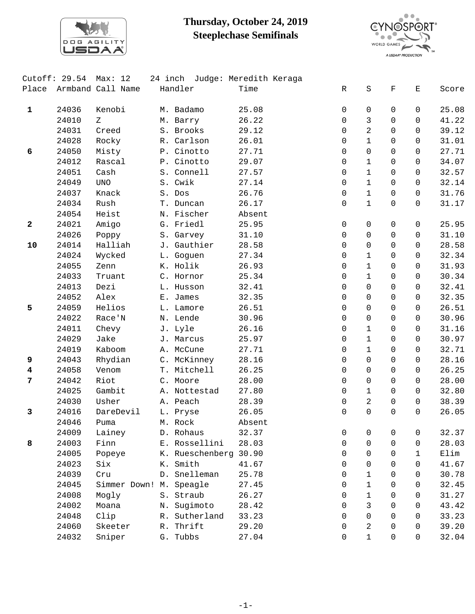

## **Thursday, October 24, 2019 Steeplechase Semifinals**



| Cutoff: 29.54           |       | Max: 12                 |    |                       | 24 inch Judge: Meredith Keraga |             |                     |              |              |       |
|-------------------------|-------|-------------------------|----|-----------------------|--------------------------------|-------------|---------------------|--------------|--------------|-------|
| Place                   |       | Armband Call Name       |    | Handler               | Time                           | $\mathbb R$ | $\rm S$             | $\mathbf F$  | Е            | Score |
|                         |       |                         |    |                       |                                |             |                     |              |              |       |
| $\mathbf{1}$            | 24036 | Kenobi                  |    | M. Badamo             | 25.08                          | 0           | 0                   | 0            | 0            | 25.08 |
|                         | 24010 | Ζ                       |    | M. Barry              | 26.22                          | $\mathbf 0$ | 3                   | $\Omega$     | $\Omega$     | 41.22 |
|                         | 24031 | Creed                   |    | S. Brooks             | 29.12                          | 0           | 2                   | $\Omega$     | $\Omega$     | 39.12 |
|                         | 24028 | Rocky                   |    | R. Carlson            | 26.01                          | 0           | $\mathbf{1}$        | $\mathbf 0$  | $\mathbf 0$  | 31.01 |
| 6                       | 24050 | Misty                   |    | P. Cinotto            | 27.71                          | 0           | 0                   | $\Omega$     | $\Omega$     | 27.71 |
|                         | 24012 | Rascal                  |    | P. Cinotto            | 29.07                          | 0           | $\mathbf 1$         | $\Omega$     | $\Omega$     | 34.07 |
|                         | 24051 | Cash                    |    | S. Connell            | 27.57                          | 0           | $\mathbf 1$         | $\Omega$     | $\Omega$     | 32.57 |
|                         | 24049 | <b>UNO</b>              |    | S. Cwik               | 27.14                          | 0           | $\mathbf{1}$        | $\mathbf 0$  | $\mathbf 0$  | 32.14 |
|                         | 24037 | Knack                   |    | S. Dos                | 26.76                          | 0           | $\mathbf{1}$        | $\mathsf{O}$ | $\mathbf 0$  | 31.76 |
|                         | 24034 | Rush                    |    | T. Duncan             | 26.17                          | $\mathbf 0$ | $\mathbf 1$         | $\Omega$     | $\Omega$     | 31.17 |
|                         | 24054 | Heist                   |    | N. Fischer            | Absent                         |             |                     |              |              |       |
| $\mathbf{2}$            | 24021 | Amigo                   |    | G. Friedl             | 25.95                          | 0           | 0                   | 0            | 0            | 25.95 |
|                         | 24026 | Poppy                   |    | S. Garvey             | 31.10                          | 0           | 0                   | $\mathsf{O}$ | $\mathbf 0$  | 31.10 |
| 10                      | 24014 | Halliah                 |    | J. Gauthier           | 28.58                          | 0           | 0                   | $\Omega$     | $\Omega$     | 28.58 |
|                         | 24024 | Wycked                  |    | L. Goguen             | 27.34                          | $\mathbf 0$ | $\mathbf{1}$        | $\Omega$     | $\Omega$     | 32.34 |
|                         | 24055 | Zenn                    |    | K. Holik              | 26.93                          | $\mathbf 0$ | $\mathbf 1$         | $\Omega$     | $\Omega$     | 31.93 |
|                         | 24033 | Truant                  |    | C. Hornor             | 25.34                          | 0           | $\mathbf{1}$        | $\mathsf{O}$ | $\mathbf 0$  | 30.34 |
|                         | 24013 | Dezi                    |    | L. Husson             | 32.41                          | 0           | 0                   | $\mathbf 0$  | 0            | 32.41 |
|                         | 24052 | Alex                    |    | E. James              | 32.35                          | $\mathbf 0$ | 0                   | $\mathbf 0$  | 0            | 32.35 |
| 5                       | 24059 | Helios                  |    | L. Lamore             | 26.51                          | $\mathbf 0$ | 0                   | 0            | $\mathbf 0$  | 26.51 |
|                         | 24022 | Race'N                  |    | N. Lende              | 30.96                          | 0           | $\mathsf{O}\xspace$ | $\mathbf 0$  | $\mathbf 0$  | 30.96 |
|                         | 24011 | Chevy                   |    | J. Lyle               | 26.16                          | 0           | $\mathbf 1$         | $\mathbf 0$  | 0            | 31.16 |
|                         | 24029 | Jake                    |    | J. Marcus             | 25.97                          | 0           | $\mathbf{1}$        | $\Omega$     | $\Omega$     | 30.97 |
|                         | 24019 | Kaboom                  |    | A. McCune             | 27.71                          | 0           | $\mathbf 1$         | $\Omega$     | $\Omega$     | 32.71 |
| 9                       | 24043 | Rhydian                 |    | C. McKinney           | 28.16                          | 0           | 0                   | $\mathbf 0$  | $\mathbf 0$  | 28.16 |
| $\overline{\textbf{4}}$ | 24058 | Venom                   |    | T. Mitchell           | 26.25                          | 0           | 0                   | $\mathbf 0$  | $\Omega$     | 26.25 |
| 7                       | 24042 | Riot                    |    | C. Moore              | 28.00                          | 0           | 0                   | $\Omega$     | $\Omega$     | 28.00 |
|                         | 24025 | Gambit                  |    | A. Nottestad          | 27.80                          | $\mathbf 0$ | $\mathbf 1$         | $\Omega$     | $\Omega$     | 32.80 |
|                         | 24030 | Usher                   |    | A. Peach              | 28.39                          | 0           | $\overline{a}$      | 0            | $\mathbf 0$  | 38.39 |
| 3                       | 24016 | DareDevil               |    | L. Pryse              | 26.05                          | $\mathbf 0$ | 0                   | $\Omega$     | $\Omega$     | 26.05 |
|                         | 24046 | Puma                    |    | M. Rock               | Absent                         |             |                     |              |              |       |
|                         | 24009 | Lainey                  |    | D. Rohaus             | 32.37                          | 0           | 0                   | 0            | 0            | 32.37 |
| 8                       | 24003 | Finn                    |    | E. Rossellini         | 28.03                          | $\mathbf 0$ | 0                   | $\mathbf 0$  | 0            | 28.03 |
|                         | 24005 | Popeye                  |    | K. Rueschenberg 30.90 |                                | 0           | $\Omega$            | $\mathsf{O}$ | $\mathbf{1}$ | Elim  |
|                         | 24023 | Six                     |    | K. Smith              | 41.67                          | $\Omega$    | $\Omega$            | $\Omega$     | 0            | 41.67 |
|                         | 24039 | Cru                     |    | D. Snelleman          | 25.78                          | 0           | $\mathbf{1}$        | $\Omega$     | 0            | 30.78 |
|                         | 24045 | Simmer Down! M. Speagle |    |                       | 27.45                          | 0           | $\mathbf{1}$        | $\Omega$     | 0            | 32.45 |
|                         | 24008 | Mogly                   |    | S. Straub             | 26.27                          | 0           | $\mathbf{1}$        | $\Omega$     | $\Omega$     | 31.27 |
|                         | 24002 | Moana                   | Ν. | Sugimoto              | 28.42                          | 0           | 3                   | $\Omega$     | 0            | 43.42 |
|                         | 24048 | Clip                    | R. | Sutherland            | 33.23                          | $\Omega$    | $\Omega$            | $\Omega$     | 0            | 33.23 |
|                         | 24060 | Skeeter                 | R. | Thrift                | 29.20                          | 0           | 2                   | $\Omega$     | $\Omega$     | 39.20 |
|                         | 24032 | Sniper                  |    | G. Tubbs              | 27.04                          | $\mathbf 0$ | $\mathbf{1}$        | $\mathsf{O}$ | 0            | 32.04 |
|                         |       |                         |    |                       |                                |             |                     |              |              |       |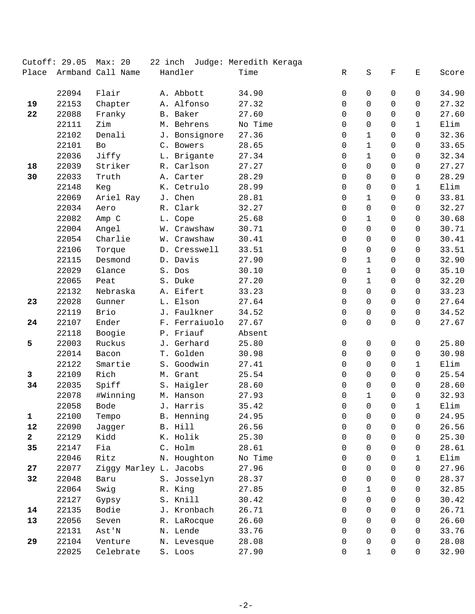|              | Cutoff: 29.05 | Max: 20                |               | 22 inch Judge: Meredith Keraga |                |              |             |              |       |
|--------------|---------------|------------------------|---------------|--------------------------------|----------------|--------------|-------------|--------------|-------|
| Place        |               | Armband Call Name      | Handler       | Time                           | R              | $\rm S$      | $\mathbf F$ | Е            | Score |
|              |               |                        |               |                                |                |              |             |              |       |
|              | 22094         | Flair                  | A. Abbott     | 34.90                          | 0              | $\mathbf 0$  | $\Omega$    | $\mathbf 0$  | 34.90 |
| 19           | 22153         | Chapter                | A. Alfonso    | 27.32                          | $\mathbf 0$    | 0            | $\Omega$    | $\mathbf 0$  | 27.32 |
| 22           | 22088         | Franky                 | B. Baker      | 27.60                          | $\mathbf 0$    | 0            | 0           | $\mathbf 0$  | 27.60 |
|              | 22111         | Zim                    | M. Behrens    | No Time                        | 0              | 0            | 0           | 1            | Elim  |
|              | 22102         | Denali                 | J. Bonsignore | 27.36                          | 0              | $\mathbf{1}$ | 0           | 0            | 32.36 |
|              | 22101         | Bo                     | C. Bowers     | 28.65                          | 0              | $\mathbf{1}$ | 0           | $\mathbf 0$  | 33.65 |
|              | 22036         | Jiffy                  | L. Brigante   | 27.34                          | 0              | $\mathbf{1}$ | 0           | $\mathbf 0$  | 32.34 |
| 18           | 22039         | Striker                | R. Carlson    | 27.27                          | 0              | 0            | $\Omega$    | $\mathbf 0$  | 27.27 |
| 30           | 22033         | Truth                  | A. Carter     | 28.29                          | $\mathbf 0$    | 0            | 0           | 0            | 28.29 |
|              | 22148         | Keg                    | K. Cetrulo    | 28.99                          | 0              | 0            | 0           | $\mathbf{1}$ | Elim  |
|              | 22069         | Ariel Ray              | J. Chen       | 28.81                          | 0              | $\mathbf{1}$ | 0           | 0            | 33.81 |
|              | 22034         | Aero                   | R. Clark      | 32.27                          | $\mathbf 0$    | 0            | 0           | 0            | 32.27 |
|              | 22082         | Amp C                  | L. Cope       | 25.68                          | 0              | $\mathbf{1}$ | 0           | 0            | 30.68 |
|              | 22004         | Angel                  | W. Crawshaw   | 30.71                          | 0              | 0            | 0           | $\Omega$     | 30.71 |
|              | 22054         | Charlie                | W. Crawshaw   | 30.41                          | $\mathbf 0$    | 0            | 0           | $\mathbf 0$  | 30.41 |
|              | 22106         | Torque                 | D. Cresswell  | 33.51                          | $\mathbf 0$    | 0            | 0           | $\mathbf 0$  | 33.51 |
|              | 22115         | Desmond                | D. Davis      | 27.90                          | 0              | $\mathbf{1}$ | 0           | $\Omega$     | 32.90 |
|              | 22029         | Glance                 | S. Dos        | 30.10                          | 0              | $\mathbf{1}$ | 0           | $\Omega$     | 35.10 |
|              | 22065         | Peat                   | S. Duke       | 27.20                          | $\mathbf 0$    | $\mathbf{1}$ | 0           | $\mathbf 0$  | 32.20 |
|              | 22132         | Nebraska               | A. Eifert     | 33.23                          | $\mathbf 0$    | 0            | 0           | 0            | 33.23 |
| 23           | 22028         | Gunner                 | L. Elson      | 27.64                          | 0              | 0            | 0           | 0            | 27.64 |
|              | 22119         | Brio                   | J. Faulkner   | 34.52                          | 0              | 0            | 0           | 0            | 34.52 |
| 24           | 22107         | Ender                  | F. Ferraiuolo | 27.67                          | $\mathbf 0$    | $\Omega$     | $\Omega$    | $\mathbf 0$  | 27.67 |
|              | 22118         | Boogie                 | P. Friauf     | Absent                         |                |              |             |              |       |
| 5            | 22003         | Ruckus                 | J. Gerhard    | 25.80                          | 0              | 0            | 0           | $\mathbf 0$  | 25.80 |
|              | 22014         | Bacon                  | T. Golden     | 30.98                          | 0              | 0            | 0           | $\mathbf 0$  | 30.98 |
|              | 22122         | Smartie                | S. Goodwin    | 27.41                          | 0              | 0            | $\mathbf 0$ | $\mathbf{1}$ | Elim  |
| 3            | 22109         | Rich                   | M. Grant      | 25.54                          | $\mathbf 0$    | 0            | 0           | $\mathsf{O}$ | 25.54 |
| 34           | 22035         | Spiff                  | S. Haigler    | 28.60                          | 0              | 0            | 0           | $\Omega$     | 28.60 |
|              | 22078         | #Winning               | M. Hanson     | 27.93                          | $\mathbf 0$    | $\mathbf{1}$ | 0           | $\mathbf 0$  | 32.93 |
|              | 22058         | Bode                   | J. Harris     | 35.42                          | $\overline{0}$ | $\Omega$     | $\Omega$    | $\mathbf{1}$ | Elim  |
| $\mathbf{1}$ | 22100         | Tempo                  | B. Henning    | 24.95                          | 0              | 0            | 0           | 0            | 24.95 |
| 12           | 22090         | Jagger                 | B. Hill       | 26.56                          | 0              | 0            | 0           | 0            | 26.56 |
| $\mathbf{2}$ | 22129         | Kidd                   | K. Holik      | 25.30                          | $\Omega$       | $\Omega$     | 0           | $\Omega$     | 25.30 |
| 35           | 22147         | Fia                    | C. Holm       | 28.61                          | $\Omega$       | 0            | 0           | $\Omega$     | 28.61 |
|              | 22046         | Ritz                   | N. Houghton   | No Time                        | 0              | 0            | 0           | $\mathbf{1}$ | Elim  |
| 27           | 22077         | Ziggy Marley L. Jacobs |               | 27.96                          | 0              | 0            | 0           | 0            | 27.96 |
| 32           | 22048         | Baru                   | S. Josselyn   | 28.37                          | $\Omega$       | 0            | 0           | $\Omega$     | 28.37 |
|              | 22064         | Swig                   | R. King       | 27.85                          | 0              | $\mathbf{1}$ | 0           | $\Omega$     | 32.85 |
|              | 22127         | Gypsy                  | S. Knill      | 30.42                          | 0              | 0            | 0           | 0            | 30.42 |
| 14           | 22135         | Bodie                  | J. Kronbach   | 26.71                          | 0              | 0            | 0           | 0            | 26.71 |
| 13           | 22056         | Seven                  | R. LaRocque   | 26.60                          | 0              | 0            | 0           | $\Omega$     | 26.60 |
|              | 22131         | Ast'N                  | N. Lende      | 33.76                          | $\Omega$       | $\Omega$     | 0           | $\Omega$     | 33.76 |
| 29           | 22104         | Venture                | N. Levesque   | 28.08                          | 0              | 0            | 0           | 0            | 28.08 |
|              | 22025         | Celebrate              | S. Loos       | 27.90                          | 0              | $\mathbf{1}$ | 0           | $\mathbf 0$  | 32.90 |
|              |               |                        |               |                                |                |              |             |              |       |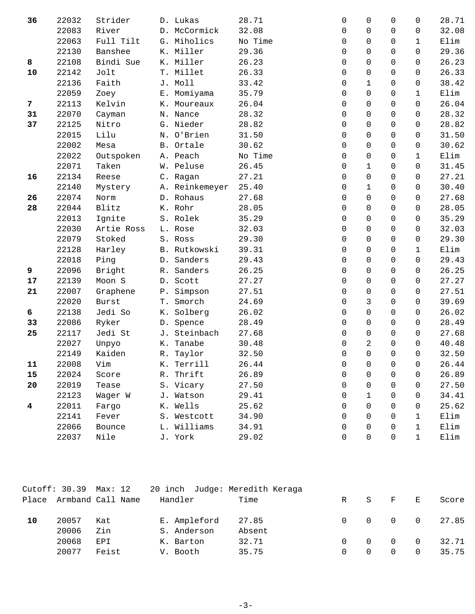| 36 | 22032 | Strider      |    | D. Lukas       | 28.71   | 0                   | 0                   | $\Omega$    | 0              | 28.71 |
|----|-------|--------------|----|----------------|---------|---------------------|---------------------|-------------|----------------|-------|
|    | 22083 | River        |    | D. McCormick   | 32.08   | 0                   | $\mathbf 0$         | $\Omega$    | 0              | 32.08 |
|    | 22063 | Full Tilt    |    | G. Miholics    | No Time | $\mathbf 0$         | 0                   | 0           | $\mathbf{1}$   | Elim  |
|    | 22130 | Banshee      |    | K. Miller      | 29.36   | 0                   | 0                   | 0           | $\mathbf 0$    | 29.36 |
| 8  | 22108 | Bindi Sue    |    | K. Miller      | 26.23   | 0                   | 0                   | 0           | 0              | 26.23 |
| 10 | 22142 | Jolt         |    | T. Millet      | 26.33   | 0                   | 0                   | 0           | $\mathbf 0$    | 26.33 |
|    | 22136 | Faith        |    | J. Moll        | 33.42   | 0                   | $\mathbf{1}$        | 0           | $\mathbf 0$    | 38.42 |
|    | 22059 | Zoey         |    | E. Momiyama    | 35.79   | $\mathbf 0$         | 0                   | 0           | $\mathbf{1}$   | Elim  |
| 7  | 22113 | Kelvin       |    | K. Moureaux    | 26.04   | 0                   | $\mathbf 0$         | $\mathbf 0$ | $\Omega$       | 26.04 |
| 31 | 22070 | Cayman       |    | N. Nance       | 28.32   | 0                   | $\mathbf 0$         | $\Omega$    | $\Omega$       | 28.32 |
| 37 | 22125 | Nitro        |    | G. Nieder      | 28.82   | $\mathbf 0$         | 0                   | 0           | $\mathbf 0$    | 28.82 |
|    | 22015 | Lilu         |    | N. O'Brien     | 31.50   | 0                   | 0                   | 0           | $\mathbf 0$    | 31.50 |
|    | 22002 | Mesa         |    | B. Ortale      | 30.62   | 0                   | 0                   | 0           | 0              | 30.62 |
|    | 22022 | Outspoken    |    | A. Peach       | No Time | 0                   | $\mathbf 0$         | 0           | $\mathbf{1}$   | Elim  |
|    | 22071 | Taken        |    | W. Peluse      | 26.45   | $\mathbf 0$         | $\mathbf{1}$        | 0           | $\mathbf 0$    | 31.45 |
| 16 | 22134 | Reese        |    | C. Ragan       | 27.21   | $\mathbf 0$         | 0                   | 0           | $\mathsf{O}$   | 27.21 |
|    | 22140 | Mystery      |    | A. Reinkemeyer | 25.40   | 0                   | $\mathbf{1}$        | $\Omega$    | $\mathsf{O}$   | 30.40 |
| 26 | 22074 | Norm         |    | D. Rohaus      | 27.68   | $\Omega$            | $\mathbf 0$         | $\Omega$    | 0              | 27.68 |
| 28 | 22044 | Blitz        |    | K. Rohr        | 28.05   | $\mathbf 0$         | 0                   | 0           | $\mathbf 0$    | 28.05 |
|    | 22013 | Ignite       |    | S. Rolek       | 35.29   | 0                   | 0                   | 0           | 0              | 35.29 |
|    | 22030 | Artie Ross   |    | L. Rose        | 32.03   | 0                   | 0                   | 0           | $\mathbf 0$    | 32.03 |
|    | 22079 | Stoked       |    | S. Ross        | 29.30   | 0                   | $\mathbf 0$         | $\mathbf 0$ | 0              | 29.30 |
|    | 22128 | Harley       |    | B. Rutkowski   | 39.31   | $\mathbf 0$         | 0                   | 0           | $\mathbf{1}$   | Elim  |
|    | 22018 | Ping         |    | D. Sanders     | 29.43   | $\mathbf 0$         | 0                   | 0           | $\mathsf{O}$   | 29.43 |
| 9  | 22096 | Bright       |    | R. Sanders     | 26.25   | 0                   | 0                   | 0           | $\mathbf 0$    | 26.25 |
| 17 | 22139 | Moon S       |    | D. Scott       | 27.27   | 0                   | 0                   | 0           | 0              | 27.27 |
| 21 | 22007 | Graphene     |    | P. Simpson     | 27.51   | 0                   | 0                   | 0           | $\mathbf 0$    | 27.51 |
|    | 22020 | <b>Burst</b> |    | T. Smorch      | 24.69   | 0                   | 3                   | 0           | $\mathbf 0$    | 39.69 |
| 6  | 22138 | Jedi So      |    | K. Solberg     | 26.02   | 0                   | 0                   | 0           | 0              | 26.02 |
| 33 | 22086 | Ryker        | D. | Spence         | 28.49   | 0                   | $\mathbf 0$         | 0           | 0              | 28.49 |
| 25 | 22117 | Jedi St      |    | J. Steinbach   | 27.68   | 0                   | $\mathbf 0$         | 0           | $\Omega$       | 27.68 |
|    | 22027 | Unpyo        |    | K. Tanabe      | 30.48   | 0                   | 2                   | $\mathbf 0$ | $\mathbf 0$    | 40.48 |
|    | 22149 | Kaiden       |    | R. Taylor      | 32.50   | 0                   | $\mathbf 0$         | $\Omega$    | $\mathbf 0$    | 32.50 |
| 11 | 22008 | Vim          |    | K. Terrill     | 26.44   | 0                   | 0                   | 0           | 0              | 26.44 |
| 15 | 22024 | Score        |    | R. Thrift      | 26.89   | 0                   | 0                   | 0           | $\Omega$       | 26.89 |
| 20 | 22019 | Tease        |    | S. Vicary      | 27.50   | 0                   | 0                   | 0           | $\overline{0}$ | 27.50 |
|    | 22123 | Wager W      |    | J. Watson      | 29.41   | 0                   | $\mathbf{1}$        | 0           | 0              | 34.41 |
| 4  | 22011 | Fargo        |    | K. Wells       | 25.62   | 0                   | $\Omega$            | 0           | $\Omega$       | 25.62 |
|    | 22141 | Fever        |    | S. Westcott    | 34.90   | $\Omega$            | $\Omega$            | 0           | 1              | Elim  |
|    | 22066 | Bounce       |    | L. Williams    | 34.91   | $\mathsf{O}\xspace$ | 0                   | 0           | $\mathbf{1}$   | Elim  |
|    | 22037 | Nile         |    | J. York        | 29.02   | 0                   | $\mathsf{O}\xspace$ | 0           | 1              | Elim  |

|       |       | Cutoff: 30.39 Max: 12 20 inch Judge: Meredith Keraga |              |        |          |          |          |          |       |
|-------|-------|------------------------------------------------------|--------------|--------|----------|----------|----------|----------|-------|
| Place |       | Armband Call Name                                    | Handler      | Time   | R        | S        | F        | E        | Score |
| 10    | 20057 | Kat                                                  | E. Ampleford | 27.85  | $\Omega$ | $\Omega$ | $\Omega$ | $\Omega$ | 27.85 |
|       | 20006 | Zin                                                  | S. Anderson  | Absent |          |          |          |          |       |
|       | 20068 | EPI                                                  | K. Barton    | 32.71  | $\cap$   | $\Omega$ | 0        | $\Omega$ | 32.71 |
|       | 20077 | Feist                                                | V. Booth     | 35.75  |          |          | $\Omega$ | 0        | 35.75 |
|       |       |                                                      |              |        |          |          |          |          |       |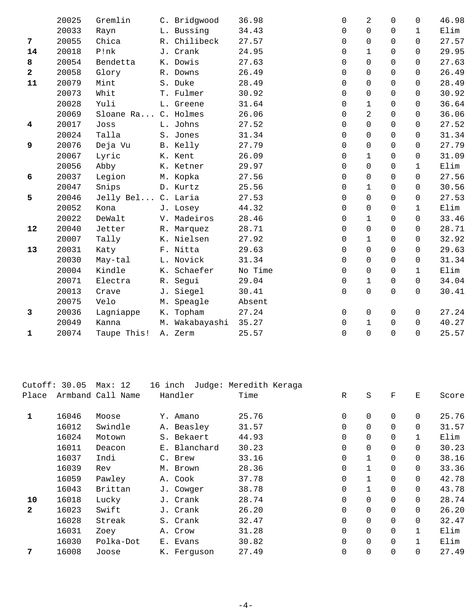|                | 20025 | Gremlin             |    | C. Bridgwood   | 36.98   | 0           | 2              | $\Omega$    | $\Omega$     | 46.98 |
|----------------|-------|---------------------|----|----------------|---------|-------------|----------------|-------------|--------------|-------|
|                | 20033 | Rayn                |    | L. Bussing     | 34.43   | $\mathbf 0$ | $\mathbf 0$    | 0           | $\mathbf{1}$ | Elim  |
| 7              | 20055 | Chica               |    | R. Chilibeck   | 27.57   | $\mathbf 0$ | $\overline{0}$ | $\Omega$    | $\Omega$     | 27.57 |
| 14             | 20018 | P!nk                |    | J. Crank       | 24.95   | 0           | $\mathbf{1}$   | $\Omega$    | $\Omega$     | 29.95 |
| 8              | 20054 | Bendetta            |    | K. Dowis       | 27.63   | $\Omega$    | $\Omega$       | $\Omega$    | $\Omega$     | 27.63 |
| $\mathbf{2}$   | 20058 | Glory               |    | R. Downs       | 26.49   | $\mathbf 0$ | $\Omega$       | $\Omega$    | 0            | 26.49 |
| 11             | 20079 | Mint                |    | S. Duke        | 28.49   | $\mathbf 0$ | $\overline{0}$ | $\mathbf 0$ | 0            | 28.49 |
|                | 20073 | Whit                |    | T. Fulmer      | 30.92   | 0           | 0              | $\Omega$    | 0            | 30.92 |
|                | 20028 | Yuli                |    | L. Greene      | 31.64   | $\mathbf 0$ | $\mathbf 1$    | 0           | $\Omega$     | 36.64 |
|                | 20069 | Sloane Ra C. Holmes |    |                | 26.06   | $\mathbf 0$ | $\overline{2}$ | $\Omega$    | $\Omega$     | 36.06 |
| $\overline{4}$ | 20017 | Joss                |    | L. Johns       | 27.52   | 0           | 0              | $\Omega$    | 0            | 27.52 |
|                | 20024 | Talla               |    | S. Jones       | 31.34   | 0           | $\mathbf 0$    | 0           | 0            | 31.34 |
| 9              | 20076 | Deja Vu             |    | B. Kelly       | 27.79   | 0           | $\Omega$       | $\Omega$    | $\Omega$     | 27.79 |
|                | 20067 | Lyric               |    | K. Kent        | 26.09   | $\mathbf 0$ | $\mathbf 1$    | 0           | 0            | 31.09 |
|                | 20056 | Abby                |    | K. Ketner      | 29.97   | 0           | $\mathbf 0$    | $\Omega$    | $\mathbf{1}$ | Elim  |
| 6              | 20037 | Legion              |    | M. Kopka       | 27.56   | 0           | $\overline{0}$ | $\Omega$    | $\Omega$     | 27.56 |
|                | 20047 | Snips               |    | D. Kurtz       | 25.56   | 0           | $\mathbf 1$    | 0           | 0            | 30.56 |
| 5              | 20046 | Jelly Bel C. Laria  |    |                | 27.53   | 0           | $\Omega$       | $\Omega$    | 0            | 27.53 |
|                | 20052 | Kona                |    | J. Losey       | 44.32   | $\Omega$    | $\mathbf 0$    | $\Omega$    | $\mathbf{1}$ | Elim  |
|                | 20022 | DeWalt              |    | V. Madeiros    | 28.46   | $\mathbf 0$ | $\mathbf 1$    | 0           | 0            | 33.46 |
| 12             | 20040 | Jetter              |    | R. Marquez     | 28.71   | $\mathbf 0$ | 0              | $\Omega$    | 0            | 28.71 |
|                | 20007 | Tally               |    | K. Nielsen     | 27.92   | $\mathbf 0$ | $\mathbf{1}$   | $\Omega$    | 0            | 32.92 |
| 13             | 20031 | Katy                |    | F. Nitta       | 29.63   | 0           | 0              | $\Omega$    | 0            | 29.63 |
|                | 20030 | May-tal             |    | L. Novick      | 31.34   | 0           | $\mathbf 0$    | 0           | 0            | 31.34 |
|                | 20004 | Kindle              |    | K. Schaefer    | No Time | $\Omega$    | $\Omega$       | $\Omega$    | $\mathbf{1}$ | Elim  |
|                | 20071 | Electra             |    | R. Segui       | 29.04   | 0           | 1              | 0           | 0            | 34.04 |
|                | 20013 | Crave               |    | J. Siegel      | 30.41   | 0           | $\mathbf 0$    | $\mathbf 0$ | 0            | 30.41 |
|                | 20075 | Velo                | М. | Speagle        | Absent  |             |                |             |              |       |
| 3              | 20036 | Lagniappe           |    | K. Topham      | 27.24   | 0           | $\mathsf 0$    | 0           | 0            | 27.24 |
|                | 20049 | Kanna               |    | M. Wakabayashi | 35.27   | $\mathbf 0$ | $\mathbf 1$    | $\Omega$    | $\Omega$     | 40.27 |
| 1              | 20074 | Taupe This!         |    | A. Zerm        | 25.57   | $\Omega$    | $\Omega$       | $\Omega$    | $\Omega$     | 25.57 |
|                |       |                     |    |                |         |             |                |             |              |       |

|       | Max: 12         |                   |                                                                                                                                                                                                     |                        |              |             |                |       |
|-------|-----------------|-------------------|-----------------------------------------------------------------------------------------------------------------------------------------------------------------------------------------------------|------------------------|--------------|-------------|----------------|-------|
|       |                 |                   | Time                                                                                                                                                                                                | $\mathbb{R}$           | $\rm S$      | $\mathbf F$ | Ε              | Score |
|       |                 |                   |                                                                                                                                                                                                     |                        |              |             |                |       |
| 16046 | Moose           |                   | 25.76                                                                                                                                                                                               | $\mathbf 0$            | 0            | $\mathbf 0$ | $\Omega$       | 25.76 |
| 16012 | Swindle         |                   | 31.57                                                                                                                                                                                               | $\mathbf 0$            | 0            | $\mathbf 0$ | $\mathbf 0$    | 31.57 |
| 16024 | Motown          |                   | 44.93                                                                                                                                                                                               | $\mathbf 0$            | $\mathbf 0$  | $\mathbf 0$ | 1              | Elim  |
| 16011 | Deacon          |                   | 30.23                                                                                                                                                                                               | $\mathbf 0$            | $\mathbf 0$  | $\mathbf 0$ | $\Omega$       | 30.23 |
| 16037 | Indi            |                   | 33.16                                                                                                                                                                                               | 0                      | $\mathbf 1$  | $\mathbf 0$ | 0              | 38.16 |
| 16039 | Rev             |                   | 28.36                                                                                                                                                                                               | $\mathbf 0$            | $\mathbf{1}$ | $\mathbf 0$ | 0              | 33.36 |
| 16059 | Pawley          |                   | 37.78                                                                                                                                                                                               | 0                      | $\mathbf 1$  | 0           | $\mathbf 0$    | 42.78 |
| 16043 | Brittan         |                   | 38.78                                                                                                                                                                                               | 0                      | $\mathbf 1$  | $\mathbf 0$ | $\mathbf 0$    | 43.78 |
| 16018 | Lucky           |                   | 28.74                                                                                                                                                                                               | $\mathbf 0$            | $\mathbf 0$  | $\mathbf 0$ | $\Omega$       | 28.74 |
| 16023 | Swift           |                   | 26.20                                                                                                                                                                                               | $\mathbf 0$            | 0            | $\Omega$    | $\Omega$       | 26.20 |
| 16028 | Streak          |                   | 32.47                                                                                                                                                                                               | $\mathbf 0$            | $\mathsf 0$  | $\mathbf 0$ | $\overline{0}$ | 32.47 |
| 16031 | Zoey            |                   | 31.28                                                                                                                                                                                               | $\mathbf 0$            | 0            | $\mathbf 0$ | 1              | Elim  |
| 16030 | Polka-Dot       |                   | 30.82                                                                                                                                                                                               | $\mathbf 0$            | 0            | $\mathbf 0$ | $\mathbf{1}$   | Elim  |
| 16008 | Joose           |                   | 27.49                                                                                                                                                                                               | 0                      | $\mathbf 0$  | $\mathbf 0$ | 0              | 27.49 |
|       | Cutoff: $30.05$ | Armband Call Name | 16 inch<br>Handler<br>Y. Amano<br>A. Beasley<br>S. Bekaert<br>E. Blanchard<br>C. Brew<br>M. Brown<br>A. Cook<br>J. Cowger<br>J. Crank<br>J. Crank<br>S. Crank<br>A. Crow<br>E. Evans<br>K. Ferquson | Judge: Meredith Keraga |              |             |                |       |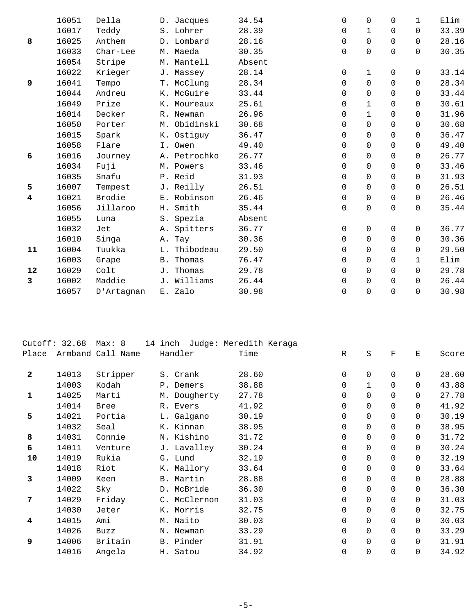|    | 16051 | Della      | D. Jacques       | 34.54  | $\mathbf 0$         | $\overline{0}$ | $\Omega$    | $\mathbf{1}$ | Elim  |
|----|-------|------------|------------------|--------|---------------------|----------------|-------------|--------------|-------|
|    | 16017 | Teddy      | S. Lohrer        | 28.39  | $\mathbf 0$         | $\mathbf 1$    | $\Omega$    | 0            | 33.39 |
| 8  | 16025 | Anthem     | D. Lombard       | 28.16  | $\mathbf 0$         | 0              | $\Omega$    | $\Omega$     | 28.16 |
|    | 16033 | Char-Lee   | M. Maeda         | 30.35  | 0                   | $\overline{0}$ | 0           | 0            | 30.35 |
|    | 16054 | Stripe     | M. Mantell       | Absent |                     |                |             |              |       |
|    | 16022 | Krieger    | J. Massey        | 28.14  | 0                   | $\mathbf 1$    | $\mathbf 0$ | 0            | 33.14 |
| 9  | 16041 | Tempo      | T. McClunq       | 28.34  | $\mathsf{O}\xspace$ | $\mathbf 0$    | 0           | 0            | 28.34 |
|    | 16044 | Andreu     | K. McGuire       | 33.44  | 0                   | 0              | 0           | 0            | 33.44 |
|    | 16049 | Prize      | K. Moureaux      | 25.61  | $\mathbf 0$         | $\mathbf 1$    | $\Omega$    | $\Omega$     | 30.61 |
|    | 16014 | Decker     | R. Newman        | 26.96  | $\mathbf 0$         | $\mathbf 1$    | $\Omega$    | $\Omega$     | 31.96 |
|    | 16050 | Porter     | M. Obidinski     | 30.68  | 0                   | $\mathbf 0$    | 0           | 0            | 30.68 |
|    | 16015 | Spark      | K. Ostiquy       | 36.47  | $\mathbf 0$         | $\mathbf 0$    | 0           | 0            | 36.47 |
|    | 16058 | Flare      | I. Owen          | 49.40  | $\mathbf 0$         | $\mathbf 0$    | $\Omega$    | 0            | 49.40 |
| 6  | 16016 | Journey    | A. Petrochko     | 26.77  | $\mathbf 0$         | $\mathbf 0$    | $\Omega$    | 0            | 26.77 |
|    | 16034 | Fuji       | M. Powers        | 33.46  | 0                   | $\mathbf 0$    | 0           | $\Omega$     | 33.46 |
|    | 16035 | Snafu      | P. Reid          | 31.93  | 0                   | $\mathbf 0$    | 0           | 0            | 31.93 |
| 5  | 16007 | Tempest    | J. Reilly        | 26.51  | 0                   | $\mathbf 0$    | 0           | 0            | 26.51 |
| 4  | 16021 | Brodie     | E. Robinson      | 26.46  | $\mathbf 0$         | $\mathbf 0$    | 0           | $\Omega$     | 26.46 |
|    | 16056 | Jillaroo   | H. Smith         | 35.44  | 0                   | $\mathbf 0$    | 0           | 0            | 35.44 |
|    | 16055 | Luna       | S. Spezia        | Absent |                     |                |             |              |       |
|    | 16032 | Jet        | A. Spitters      | 36.77  | 0                   | 0              | $\mathbf 0$ | 0            | 36.77 |
|    | 16010 | Singa      | A. Tay           | 30.36  | 0                   | $\mathbf 0$    | $\Omega$    | 0            | 30.36 |
| 11 | 16004 | Tuukka     | L. Thibodeau     | 29.50  | 0                   | $\mathbf 0$    | 0           | 0            | 29.50 |
|    | 16003 | Grape      | <b>B.</b> Thomas | 76.47  | $\mathbf 0$         | $\mathbf 0$    | 0           | $\mathbf 1$  | Elim  |
| 12 | 16029 | Colt       | J. Thomas        | 29.78  | 0                   | $\mathbf 0$    | $\Omega$    | $\Omega$     | 29.78 |
| 3  | 16002 | Maddie     | J. Williams      | 26.44  | $\mathbf 0$         | $\Omega$       | $\Omega$    | $\Omega$     | 26.44 |
|    | 16057 | D'Artagnan | E. Zalo          | 30.98  | $\mathsf 0$         | $\mathbf 0$    | $\mathbf 0$ | 0            | 30.98 |
|    |       |            |                  |        |                     |                |             |              |       |

|                | Cutoff: $32.68$ | Max: 8            | 14 inch      | Judge: Meredith Keraga |              |             |             |             |       |
|----------------|-----------------|-------------------|--------------|------------------------|--------------|-------------|-------------|-------------|-------|
| Place          |                 | Armband Call Name | Handler      | Time                   | $\mathbb{R}$ | $\rm S$     | $\mathbf F$ | E           | Score |
| $\overline{2}$ | 14013           | Stripper          | S. Crank     | 28.60                  | 0            | $\mathbf 0$ | $\mathbf 0$ | $\Omega$    | 28.60 |
|                | 14003           | Kodah             | P. Demers    | 38.88                  | $\mathbf 0$  | $\mathbf 1$ | $\mathbf 0$ | $\Omega$    | 43.88 |
| $\mathbf{1}$   | 14025           | Marti             | M. Dougherty | 27.78                  | 0            | $\mathbf 0$ | $\Omega$    | $\Omega$    | 27.78 |
|                | 14014           | <b>Bree</b>       | R. Evers     | 41.92                  | 0            | $\mathbf 0$ | $\mathbf 0$ | $\mathbf 0$ | 41.92 |
| 5              | 14021           | Portia            | L. Galgano   | 30.19                  | $\mathbf 0$  | $\mathbf 0$ | $\Omega$    | $\Omega$    | 30.19 |
|                | 14032           | Seal              | K. Kinnan    | 38.95                  | 0            | 0           | $\mathbf 0$ | 0           | 38.95 |
| 8              | 14031           | Connie            | N. Kishino   | 31.72                  | 0            | 0           | $\Omega$    | $\Omega$    | 31.72 |
| 6              | 14011           | Venture           | J. Lavalley  | 30.24                  | $\mathbf 0$  | $\mathbf 0$ | $\mathbf 0$ | 0           | 30.24 |
| 10             | 14019           | Rukia             | G. Lund      | 32.19                  | $\mathbf 0$  | $\Omega$    | $\Omega$    | $\Omega$    | 32.19 |
|                | 14018           | Riot              | K. Mallory   | 33.64                  | 0            | 0           | $\mathbf 0$ | $\mathbf 0$ | 33.64 |
| 3              | 14009           | Keen              | B. Martin    | 28.88                  | $\mathbf 0$  | $\mathbf 0$ | $\Omega$    | $\Omega$    | 28.88 |
|                | 14022           | Sky               | D. McBride   | 36.30                  | $\mathbf 0$  | $\mathbf 0$ | $\Omega$    | $\Omega$    | 36.30 |
| 7              | 14029           | Friday            | C. McClernon | 31.03                  | 0            | $\mathsf 0$ | $\mathbf 0$ | 0           | 31.03 |
|                | 14030           | Jeter             | K. Morris    | 32.75                  | $\mathbf 0$  | $\mathbf 0$ | $\Omega$    | $\Omega$    | 32.75 |
| 4              | 14015           | Ami               | M. Naito     | 30.03                  | $\mathbf 0$  | $\mathbf 0$ | $\mathbf 0$ | 0           | 30.03 |
|                | 14026           | Buzz              | N. Newman    | 33.29                  | $\mathbf 0$  | 0           | $\Omega$    | $\Omega$    | 33.29 |
| 9              | 14006           | Britain           | B. Pinder    | 31.91                  | 0            | 0           | $\mathbf 0$ | $\mathbf 0$ | 31.91 |
|                | 14016           | Angela            | H. Satou     | 34.92                  | 0            | $\mathbf 0$ | $\Omega$    | $\Omega$    | 34.92 |